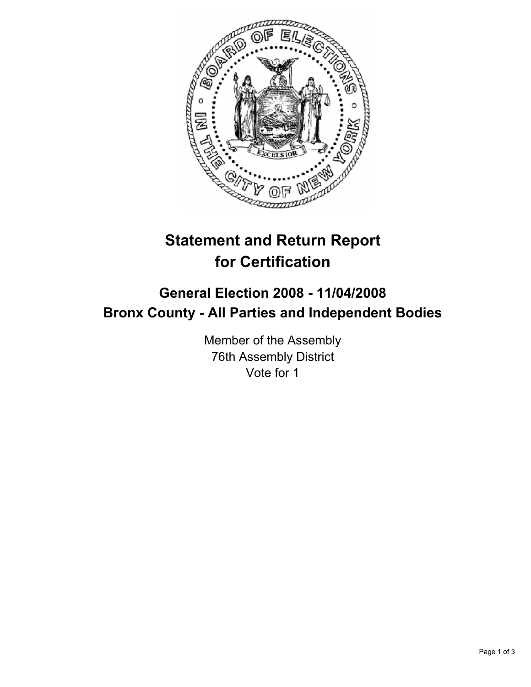

# **Statement and Return Report for Certification**

## **General Election 2008 - 11/04/2008 Bronx County - All Parties and Independent Bodies**

Member of the Assembly 76th Assembly District Vote for 1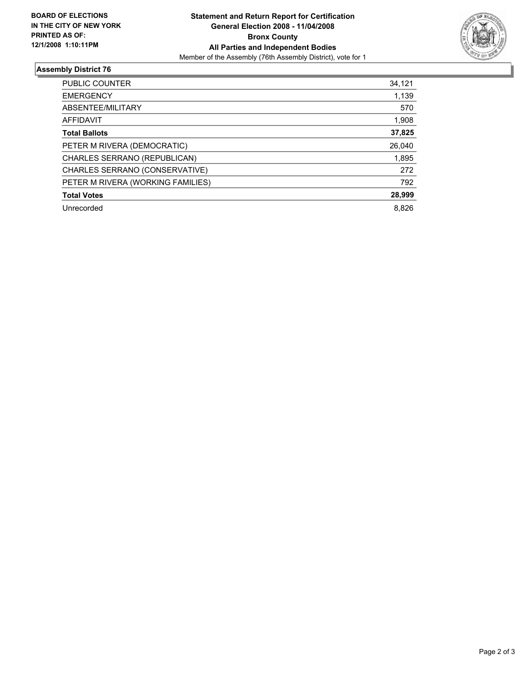

### **Assembly District 76**

| PUBLIC COUNTER                    | 34,121 |
|-----------------------------------|--------|
| <b>EMERGENCY</b>                  | 1,139  |
| ABSENTEE/MILITARY                 | 570    |
| <b>AFFIDAVIT</b>                  | 1,908  |
| <b>Total Ballots</b>              | 37,825 |
| PETER M RIVERA (DEMOCRATIC)       | 26,040 |
| CHARLES SERRANO (REPUBLICAN)      | 1,895  |
| CHARLES SERRANO (CONSERVATIVE)    | 272    |
| PETER M RIVERA (WORKING FAMILIES) | 792    |
| <b>Total Votes</b>                | 28,999 |
| Unrecorded                        | 8.826  |